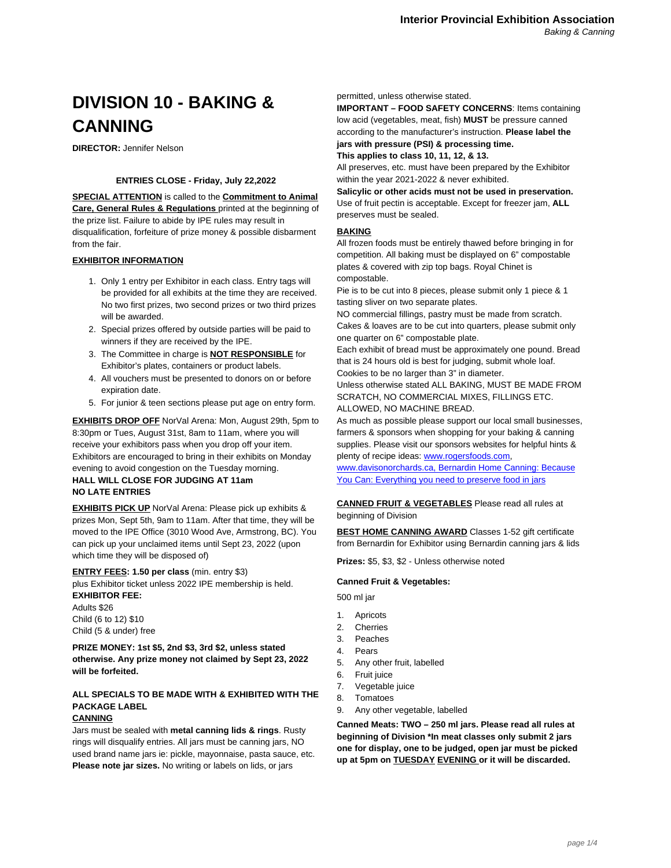# **DIVISION 10 - BAKING & CANNING**

**DIRECTOR:** Jennifer Nelson

## **ENTRIES CLOSE - Friday, July 22,2022**

**SPECIAL ATTENTION** is called to the **Commitment to Animal Care, General Rules & Regulations** printed at the beginning of the prize list. Failure to abide by IPE rules may result in disqualification, forfeiture of prize money & possible disbarment from the fair.

## **EXHIBITOR INFORMATION**

- 1. Only 1 entry per Exhibitor in each class. Entry tags will be provided for all exhibits at the time they are received. No two first prizes, two second prizes or two third prizes will be awarded.
- 2. Special prizes offered by outside parties will be paid to winners if they are received by the IPE.
- 3. The Committee in charge is **NOT RESPONSIBLE** for Exhibitor's plates, containers or product labels.
- 4. All vouchers must be presented to donors on or before expiration date.
- 5. For junior & teen sections please put age on entry form.

**EXHIBITS DROP OFF** NorVal Arena: Mon, August 29th, 5pm to 8:30pm or Tues, August 31st, 8am to 11am, where you will receive your exhibitors pass when you drop off your item. Exhibitors are e[ncouraged to bring in their](http://www.rogersfoods.com/) exhibits on Monday [evening to avoid con](http://www.davisonorchards.ca/)[gestion on the Tuesday morning.](https://www.bernardin.ca/) **[HALL WILL CLOSE FOR JUDGING AT 11am](https://www.bernardin.ca/)**

# **NO LATE ENTRIES**

**EXHIBITS PICK UP** NorVal Arena: Please pick up exhibits & prizes Mon, Sept 5th, 9am to 11am. After that time, they will be moved to the IPE Office (3010 Wood Ave, Armstrong, BC). You can pick up your unclaimed items until Sept 23, 2022 (upon which time they will be disposed of)

#### **ENTRY FEES: 1.50 per class** (min. entry \$3) plus Exhibitor ticket unless 2022 IPE membership is held. **EXHIBITOR FEE:**

Adults \$26 Child (6 to 12) \$10 Child (5 & under) free

**PRIZE MONEY: 1st \$5, 2nd \$3, 3rd \$2, unless stated otherwise. Any prize money not claimed by Sept 23, 2022 will be forfeited.**

# **ALL SPECIALS TO BE MADE WITH & EXHIBITED WITH THE PACKAGE LABEL**

### **CANNING**

Jars must be sealed with **metal canning lids & rings**. Rusty rings will disqualify entries. All jars must be canning jars, NO used brand name jars ie: pickle, mayonnaise, pasta sauce, etc. **Please note jar sizes.** No writing or labels on lids, or jars

permitted, unless otherwise stated.

**IMPORTANT – FOOD SAFETY CONCERNS**: Items containing low acid (vegetables, meat, fish) **MUST** be pressure canned according to the manufacturer's instruction. **Please label the jars with pressure (PSI) & processing time.**

**This applies to class 10, 11, 12, & 13.**

All preserves, etc. must have been prepared by the Exhibitor within the year 2021-2022 & never exhibited.

**Salicylic or other acids must not be used in preservation.** Use of fruit pectin is acceptable. Except for freezer jam, **ALL** preserves must be sealed.

#### **BAKING**

All frozen foods must be entirely thawed before bringing in for competition. All baking must be displayed on 6" compostable plates & covered with zip top bags. Royal Chinet is compostable.

Pie is to be cut into 8 pieces, please submit only 1 piece & 1 tasting sliver on two separate plates.

NO commercial fillings, pastry must be made from scratch. Cakes & loaves are to be cut into quarters, please submit only one quarter on 6" compostable plate.

Each exhibit of bread must be approximately one pound. Bread that is 24 hours old is best for judging, submit whole loaf. Cookies to be no larger than 3" in diameter.

Unless otherwise stated ALL BAKING, MUST BE MADE FROM SCRATCH, NO COMMERCIAL MIXES, FILLINGS ETC. ALLOWED, NO MACHINE BREAD.

As much as possible please support our local small businesses, farmers & sponsors when shopping for your baking & canning supplies. Please visit our sponsors websites for helpful hints & plenty of recipe ideas: www.rogersfoods.com,

www.davisonorchards.ca, Bernardin Home Canning: Because You Can: Everything you need to preserve food in jars

# **CANNED FRUIT & VEGETABLES** Please read all rules at beginning of Division

**BEST HOME CANNING AWARD** Classes 1-52 gift certificate from Bernardin for Exhibitor using Bernardin canning jars & lids

**Prizes:** \$5, \$3, \$2 - Unless otherwise noted

#### **Canned Fruit & Vegetables:**

500 ml jar

- 1. Apricots
- 2. Cherries
- 3. Peaches
- 4. Pears
- 5. Any other fruit, labelled
- 6. Fruit juice
- 7. Vegetable juice
- 8. Tomatoes
- 9. Any other vegetable, labelled

**Canned Meats: TWO – 250 ml jars. Please read all rules at beginning of Division \*In meat classes only submit 2 jars one for display, one to be judged, open jar must be picked up at 5pm on TUESDAY EVENING or it will be discarded.**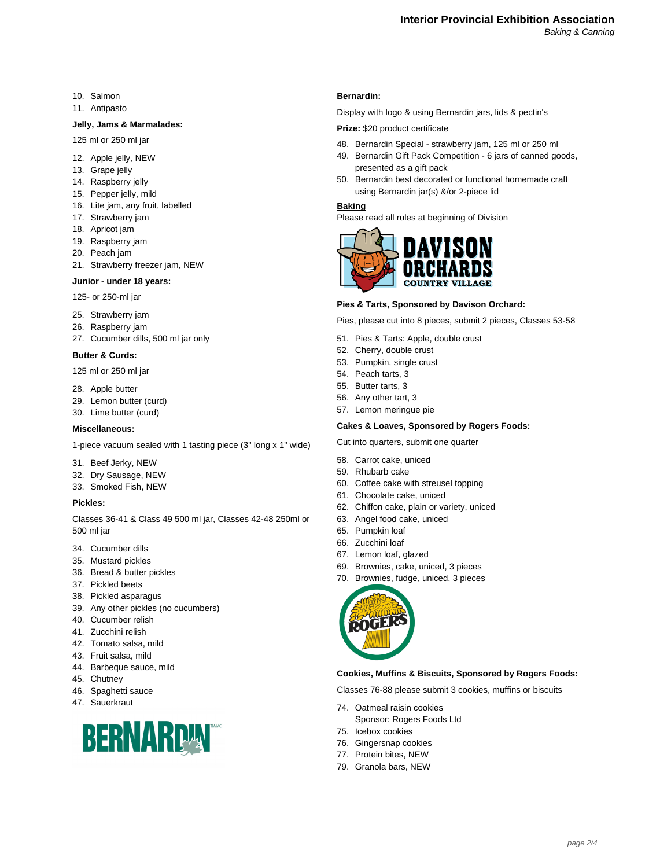- 10. Salmon
- 11. Antipasto

#### **Jelly, Jams & Marmalades:**

- 125 ml or 250 ml jar
- 12. Apple jelly, NEW
- 13. Grape jelly
- 14. Raspberry jelly
- 15. Pepper jelly, mild
- 16. Lite jam, any fruit, labelled
- 17. Strawberry jam
- 18. Apricot jam
- 19. Raspberry jam
- 20. Peach jam
- 21. Strawberry freezer jam, NEW

#### **Junior - under 18 years:**

125- or 250-ml jar

- 25. Strawberry jam
- 26. Raspberry jam
- 27. Cucumber dills, 500 ml jar only

#### **Butter & Curds:**

125 ml or 250 ml jar

- 28. Apple butter
- 29. Lemon butter (curd)
- 30. Lime butter (curd)

#### **Miscellaneous:**

1-piece vacuum sealed with 1 tasting piece (3" long x 1" wide)

- 31. Beef Jerky, NEW
- 32. Dry Sausage, NEW
- 33. Smoked Fish, NEW

### **Pickles:**

Classes 36-41 & Class 49 500 ml jar, Classes 42-48 250ml or 500 ml jar

- 34. Cucumber dills
- 35. Mustard pickles
- 36. Bread & butter pickles
- 37. Pickled beets
- 38. Pickled asparagus
- 39. Any other pickles (no cucumbers)
- 40. Cucumber relish
- 41. Zucchini relish
- 42. Tomato salsa, mild
- 43. Fruit salsa, mild
- 44. Barbeque sauce, mild
- 45. Chutney
- 46. Spaghetti sauce
- 47. Sauerkraut



#### **Bernardin:**

Display with logo & using Bernardin jars, lids & pectin's

## **Prize:** \$20 product certificate

- 48. Bernardin Special strawberry jam, 125 ml or 250 ml
- 49. Bernardin Gift Pack Competition 6 jars of canned goods, presented as a gift pack
- 50. Bernardin best decorated or functional homemade craft using Bernardin jar(s) &/or 2-piece lid

#### **Baking**

Please read all rules at beginning of Division



#### **Pies & Tarts, Sponsored by Davison Orchard:**

Pies, please cut into 8 pieces, submit 2 pieces, Classes 53-58

- 51. Pies & Tarts: Apple, double crust
- 52. Cherry, double crust
- 53. Pumpkin, single crust
- 54. Peach tarts, 3
- 55. Butter tarts, 3
- 56. Any other tart, 3
- 57. Lemon meringue pie

#### **Cakes & Loaves, Sponsored by Rogers Foods:**

Cut into quarters, submit one quarter

- 58. Carrot cake, uniced
- 59. Rhubarb cake
- 60. Coffee cake with streusel topping
- 61. Chocolate cake, uniced
- 62. Chiffon cake, plain or variety, uniced
- 63. Angel food cake, uniced
- 65. Pumpkin loaf
- 66. Zucchini loaf
- 67. Lemon loaf, glazed
- 69. Brownies, cake, uniced, 3 pieces
- 70. Brownies, fudge, uniced, 3 pieces



#### **Cookies, Muffins & Biscuits, Sponsored by Rogers Foods:**

Classes 76-88 please submit 3 cookies, muffins or biscuits

- 74. Oatmeal raisin cookies
- Sponsor: Rogers Foods Ltd
- 75. Icebox cookies
- 76. Gingersnap cookies
- 77. Protein bites, NEW
- 79. Granola bars, NEW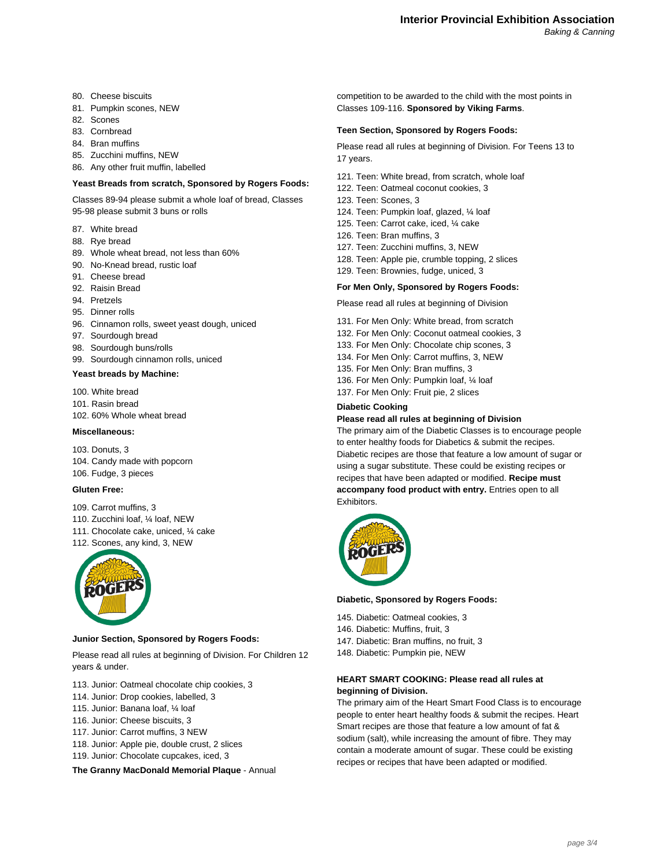- 80. Cheese biscuits
- 81. Pumpkin scones, NEW
- 82. Scones
- 83. Cornbread
- 84. Bran muffins
- 85. Zucchini muffins, NEW
- 86. Any other fruit muffin, labelled

#### **Yeast Breads from scratch, Sponsored by Rogers Foods:**

Classes 89-94 please submit a whole loaf of bread, Classes 95-98 please submit 3 buns or rolls

- 87. White bread
- 88. Rye bread
- 89. Whole wheat bread, not less than 60%
- 90. No-Knead bread, rustic loaf
- 91. Cheese bread
- 92. Raisin Bread
- 94. Pretzels
- 95. Dinner rolls
- 96. Cinnamon rolls, sweet yeast dough, uniced
- 97. Sourdough bread
- 98. Sourdough buns/rolls
- 99. Sourdough cinnamon rolls, uniced
- **Yeast breads by Machine:**
- 100. White bread
- 101. Rasin bread
- 102. 60% Whole wheat bread

#### **Miscellaneous:**

103. Donuts, 3 104. Candy made with popcorn 106. Fudge, 3 pieces

#### **Gluten Free:**

- 109. Carrot muffins, 3
- 110. Zucchini loaf, ¼ loaf, NEW
- 111. Chocolate cake, uniced, ¼ cake
- 112. Scones, any kind, 3, NEW



#### **Junior Section, Sponsored by Rogers Foods:**

Please read all rules at beginning of Division. For Children 12 years & under.

- 113. Junior: Oatmeal chocolate chip cookies, 3
- 114. Junior: Drop cookies, labelled, 3
- 115. Junior: Banana loaf, ¼ loaf
- 116. Junior: Cheese biscuits, 3
- 117. Junior: Carrot muffins, 3 NEW
- 118. Junior: Apple pie, double crust, 2 slices
- 119. Junior: Chocolate cupcakes, iced, 3
- **The Granny MacDonald Memorial Plaque**  Annual

competition to be awarded to the child with the most points in Classes 109-116. **Sponsored by Viking Farms**.

#### **Teen Section, Sponsored by Rogers Foods:**

Please read all rules at beginning of Division. For Teens 13 to 17 years.

- 121. Teen: White bread, from scratch, whole loaf
- 122. Teen: Oatmeal coconut cookies, 3
- 123. Teen: Scones, 3
- 124. Teen: Pumpkin loaf, glazed, ¼ loaf
- 125. Teen: Carrot cake, iced, ¼ cake
- 126. Teen: Bran muffins, 3
- 127. Teen: Zucchini muffins, 3, NEW
- 128. Teen: Apple pie, crumble topping, 2 slices
- 129. Teen: Brownies, fudge, uniced, 3

#### **For Men Only, Sponsored by Rogers Foods:**

Please read all rules at beginning of Division

- 131. For Men Only: White bread, from scratch
- 132. For Men Only: Coconut oatmeal cookies, 3
- 133. For Men Only: Chocolate chip scones, 3
- 134. For Men Only: Carrot muffins, 3, NEW
- 135. For Men Only: Bran muffins, 3
- 136. For Men Only: Pumpkin loaf, ¼ loaf
- 137. For Men Only: Fruit pie, 2 slices

#### **Diabetic Cooking**

#### **Please read all rules at beginning of Division**

The primary aim of the Diabetic Classes is to encourage people to enter healthy foods for Diabetics & submit the recipes. Diabetic recipes are those that feature a low amount of sugar or using a sugar substitute. These could be existing recipes or recipes that have been adapted or modified. **Recipe must accompany food product with entry.** Entries open to all Exhibitors.



#### **Diabetic, Sponsored by Rogers Foods:**

- 145. Diabetic: Oatmeal cookies, 3
- 146. Diabetic: Muffins, fruit, 3
- 147. Diabetic: Bran muffins, no fruit, 3
- 148. Diabetic: Pumpkin pie, NEW

#### **HEART SMART COOKING: Please read all rules at beginning of Division.**

The primary aim of the Heart Smart Food Class is to encourage people to enter heart healthy foods & submit the recipes. Heart Smart recipes are those that feature a low amount of fat & sodium (salt), while increasing the amount of fibre. They may contain a moderate amount of sugar. These could be existing recipes or recipes that have been adapted or modified.